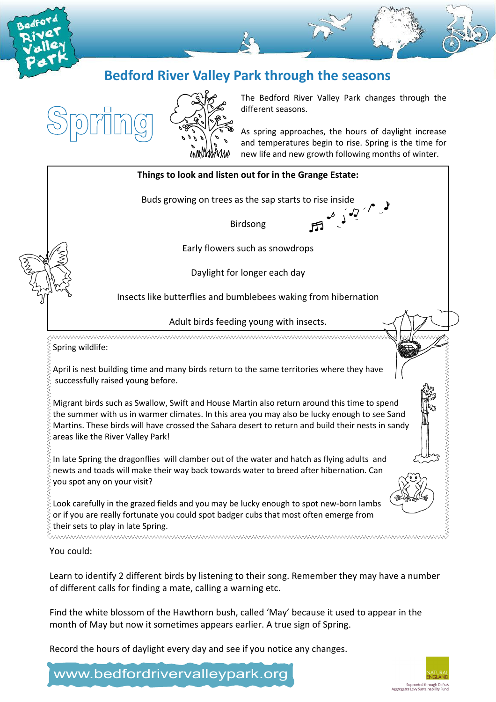







The Bedford River Valley Park changes through the different seasons.

As spring approaches, the hours of daylight increase and temperatures begin to rise. Spring is the time for new life and new growth following months of winter.



Learn to identify 2 different birds by listening to their song. Remember they may have a number of different calls for finding a mate, calling a warning etc.

Find the white blossom of the Hawthorn bush, called 'May' because it used to appear in the month of May but now it sometimes appears earlier. A true sign of Spring.

Record the hours of daylight every day and see if you notice any changes.

www.bedfordrivervalleypark.org

# Supported through Defra's<br>Aggregates Levy Sustainability Fund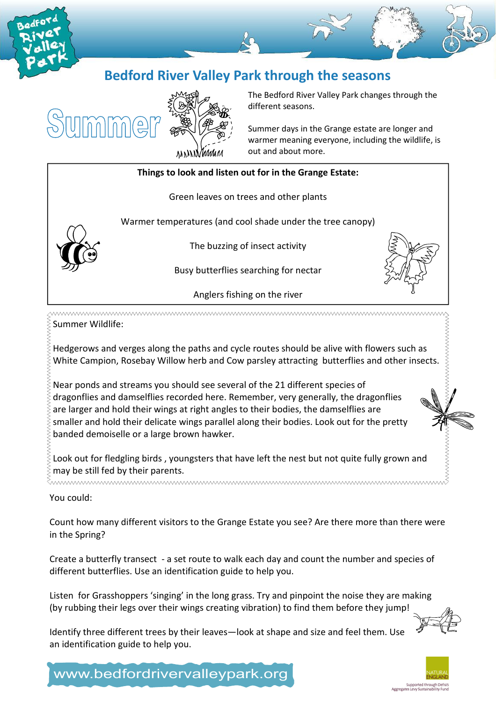







The Bedford River Valley Park changes through the different seasons.

Summer days in the Grange estate are longer and warmer meaning everyone, including the wildlife, is out and about more.



Summer Wildlife:

Hedgerows and verges along the paths and cycle routes should be alive with flowers such as White Campion, Rosebay Willow herb and Cow parsley attracting butterflies and other insects.

Near ponds and streams you should see several of the 21 different species of dragonflies and damselflies recorded here. Remember, very generally, the dragonflies are larger and hold their wings at right angles to their bodies, the damselflies are smaller and hold their delicate wings parallel along their bodies. Look out for the pretty banded demoiselle or a large brown hawker.

Look out for fledgling birds , youngsters that have left the nest but not quite fully grown and  $\frac{1}{2}$  may be still fed by their parents.

You could:

Count how many different visitors to the Grange Estate you see? Are there more than there were in the Spring?

Create a butterfly transect - a set route to walk each day and count the number and species of different butterflies. Use an identification guide to help you.

Listen for Grasshoppers 'singing' in the long grass. Try and pinpoint the noise they are making (by rubbing their legs over their wings creating vibration) to find them before they jump!

Identify three different trees by their leaves—look at shape and size and feel them. Use an identification guide to help you.



Supported through Defra's<br>Aggregates Levy Sustainability Fund

www.bedfordrivervalleypark.org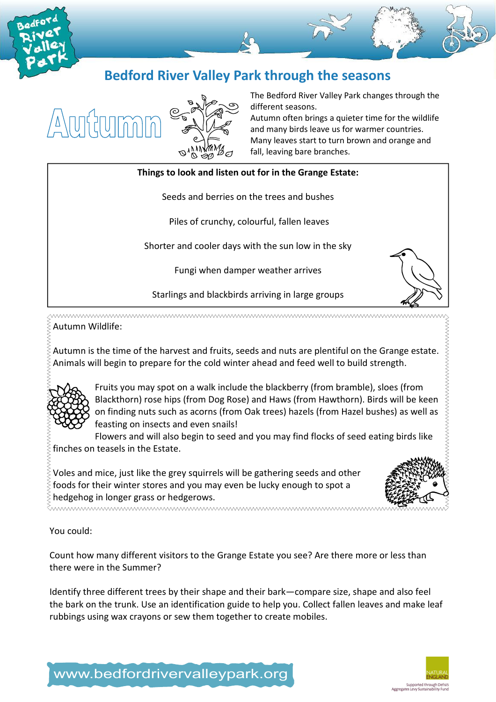





The Bedford River Valley Park changes through the different seasons.

Autumn often brings a quieter time for the wildlife and many birds leave us for warmer countries. Many leaves start to turn brown and orange and fall, leaving bare branches.

#### Things to look and listen out for in the Grange Estate:

Seeds and berries on the trees and bushes

Piles of crunchy, colourful, fallen leaves

Shorter and cooler days with the sun low in the sky

Fungi when damper weather arrives

Starlings and blackbirds arriving in large groups

^^ Autumn Wildlife:

Autumn is the time of the harvest and fruits, seeds and nuts are plentiful on the Grange estate. Animals will begin to prepare for the cold winter ahead and feed well to build strength.



Fruits you may spot on a walk include the blackberry (from bramble), sloes (from Blackthorn) rose hips (from Dog Rose) and Haws (from Hawthorn). Birds will be keen on finding nuts such as acorns (from Oak trees) hazels (from Hazel bushes) as well as feasting on insects and even snails!

Flowers and will also begin to seed and you may find flocks of seed eating birds like finches on teasels in the Estate.

Voles and mice, just like the grey squirrels will be gathering seeds and other  $\hat{\xi}$  foods for their winter stores and you may even be lucky enough to spot a hedgehog in longer grass or hedgerows.

<u>muumuumuumuumuumuumuumuumumumumumum</u>

You could:

Count how many different visitors to the Grange Estate you see? Are there more or less than there were in the Summer?

Identify three different trees by their shape and their bark—compare size, shape and also feel the bark on the trunk. Use an identification guide to help you. Collect fallen leaves and make leaf rubbings using wax crayons or sew them together to create mobiles.



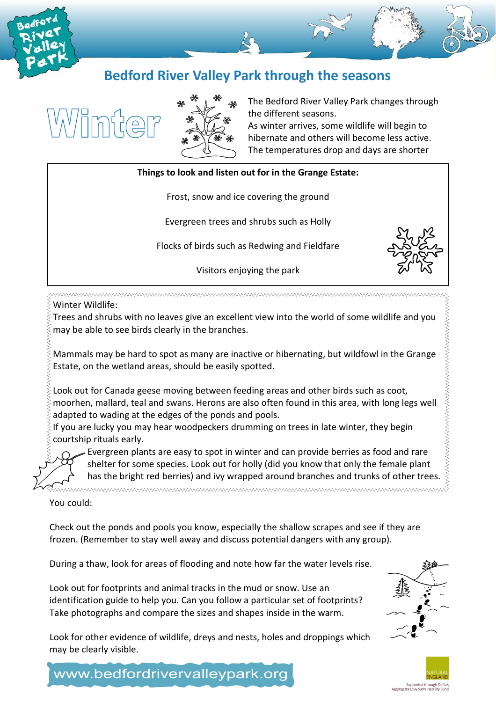

## Bedford River Valley Park through the seasons





The Bedford River Valley Park changes through the different seasons.

As winter arrives, some wildlife will begin to hibernate and others will become less active. The temperatures drop and days are shorter

### Things to look and listen out for in the Grange Estate:

Frost, snow and ice covering the ground

Evergreen trees and shrubs such as Holly

Flocks of birds such as Redwing and Fieldfare

Visitors enjoying the park

Winter Wildlife:

Trees and shrubs with no leaves give an excellent view into the world of some wildlife and you may be able to see birds clearly in the branches.

Mammals may be hard to spot as many are inactive or hibernating, but wildfowl in the Grange Estate, on the wetland areas, should be easily spotted.

Look out for Canada geese moving between feeding areas and other birds such as coot, moorhen, mallard, teal and swans. Herons are also often found in this area, with long legs well adapted to wading at the edges of the ponds and pools.

If you are lucky you may hear woodpeckers drumming on trees in late winter, they begin courtship rituals early.

Evergreen plants are easy to spot in winter and can provide berries as food and rare shelter for some species. Look out for holly (did you know that only the female plant has the bright red berries) and ivy wrapped around branches and trunks of other trees. <del>k</del>

You could:

Check out the ponds and pools you know, especially the shallow scrapes and see if they are frozen. (Remember to stay well away and discuss potential dangers with any group).

During a thaw, look for areas of flooding and note how far the water levels rise.

Look out for footprints and animal tracks in the mud or snow. Use an identification guide to help you. Can you follow a particular set of footprints? Take photographs and compare the sizes and shapes inside in the warm.



Supported through Defra<br>Aggregates Levy Sustainability Fur

Look for other evidence of wildlife, dreys and nests, holes and droppings which may be clearly visible.

www.bedfordrivervalleypark.org